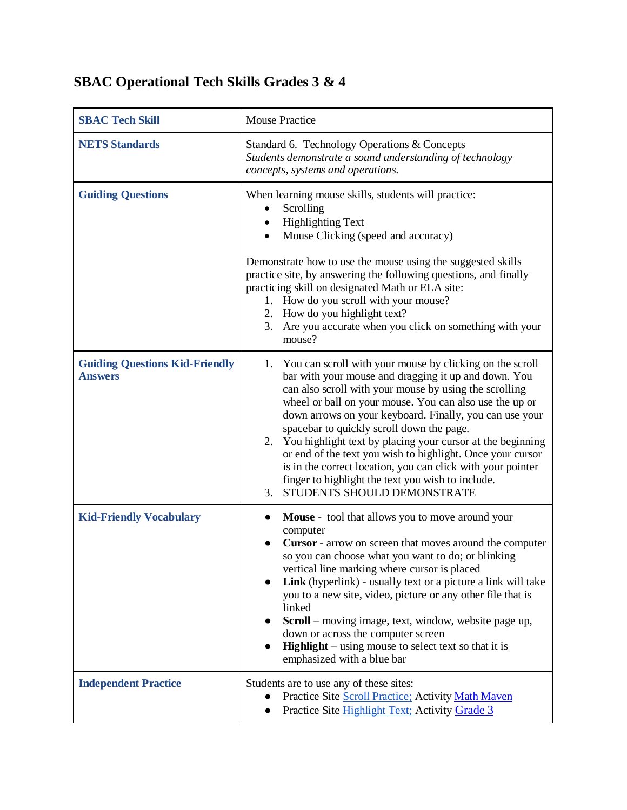## **SBAC Operational Tech Skills Grades 3 & 4**

| <b>SBAC Tech Skill</b>                                  | <b>Mouse Practice</b>                                                                                                                                                                                                                                                                                                                                                                                                                                                                                                                                                                                                                       |
|---------------------------------------------------------|---------------------------------------------------------------------------------------------------------------------------------------------------------------------------------------------------------------------------------------------------------------------------------------------------------------------------------------------------------------------------------------------------------------------------------------------------------------------------------------------------------------------------------------------------------------------------------------------------------------------------------------------|
| <b>NETS Standards</b>                                   | Standard 6. Technology Operations & Concepts<br>Students demonstrate a sound understanding of technology<br>concepts, systems and operations.                                                                                                                                                                                                                                                                                                                                                                                                                                                                                               |
| <b>Guiding Questions</b>                                | When learning mouse skills, students will practice:<br>Scrolling<br><b>Highlighting Text</b><br>Mouse Clicking (speed and accuracy)<br>Demonstrate how to use the mouse using the suggested skills<br>practice site, by answering the following questions, and finally<br>practicing skill on designated Math or ELA site:<br>1. How do you scroll with your mouse?<br>2. How do you highlight text?<br>3. Are you accurate when you click on something with your<br>mouse?                                                                                                                                                                 |
| <b>Guiding Questions Kid-Friendly</b><br><b>Answers</b> | 1. You can scroll with your mouse by clicking on the scroll<br>bar with your mouse and dragging it up and down. You<br>can also scroll with your mouse by using the scrolling<br>wheel or ball on your mouse. You can also use the up or<br>down arrows on your keyboard. Finally, you can use your<br>spacebar to quickly scroll down the page.<br>You highlight text by placing your cursor at the beginning<br>2.<br>or end of the text you wish to highlight. Once your cursor<br>is in the correct location, you can click with your pointer<br>finger to highlight the text you wish to include.<br>STUDENTS SHOULD DEMONSTRATE<br>3. |
| <b>Kid-Friendly Vocabulary</b>                          | <b>Mouse</b> - tool that allows you to move around your<br>$\bullet$<br>computer<br><b>Cursor</b> - arrow on screen that moves around the computer<br>so you can choose what you want to do; or blinking<br>vertical line marking where cursor is placed<br>Link (hyperlink) - usually text or a picture a link will take<br>you to a new site, video, picture or any other file that is<br>linked<br>Scroll - moving image, text, window, website page up,<br>$\bullet$<br>down or across the computer screen<br><b>Highlight</b> – using mouse to select text so that it is<br>emphasized with a blue bar                                 |
| <b>Independent Practice</b>                             | Students are to use any of these sites:<br>Practice Site Scroll Practice; Activity Math Maven<br>Practice Site Highlight Text; Activity Grade 3<br>$\bullet$                                                                                                                                                                                                                                                                                                                                                                                                                                                                                |